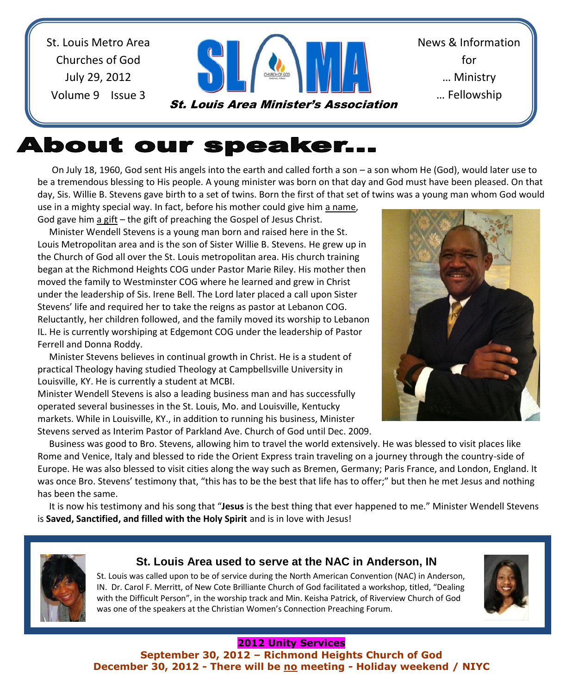St. Louis Metro Area Churches of God July 29, 2012 Volume 9 Issue 3



News & Information for … Ministry … Fellowship

# **About our speaker...**

 On July 18, 1960, God sent His angels into the earth and called forth a son – a son whom He (God), would later use to be a tremendous blessing to His people. A young minister was born on that day and God must have been pleased. On that day, Sis. Willie B. Stevens gave birth to a set of twins. Born the first of that set of twins was a young man whom God would use in a mighty special way. In fact, before his mother could give him a name,

God gave him a gift – the gift of preaching the Gospel of Jesus Christ.

 Minister Wendell Stevens is a young man born and raised here in the St. Louis Metropolitan area and is the son of Sister Willie B. Stevens. He grew up in the Church of God all over the St. Louis metropolitan area. His church training began at the Richmond Heights COG under Pastor Marie Riley. His mother then moved the family to Westminster COG where he learned and grew in Christ under the leadership of Sis. Irene Bell. The Lord later placed a call upon Sister Stevens' life and required her to take the reigns as pastor at Lebanon COG. Reluctantly, her children followed, and the family moved its worship to Lebanon IL. He is currently worshiping at Edgemont COG under the leadership of Pastor Ferrell and Donna Roddy.

 Minister Stevens believes in continual growth in Christ. He is a student of practical Theology having studied Theology at Campbellsville University in Louisville, KY. He is currently a student at MCBI.

Minister Wendell Stevens is also a leading business man and has successfully operated several businesses in the St. Louis, Mo. and Louisville, Kentucky markets. While in Louisville, KY., in addition to running his business, Minister Stevens served as Interim Pastor of Parkland Ave. Church of God until Dec. 2009.

 Business was good to Bro. Stevens, allowing him to travel the world extensively. He was blessed to visit places like Rome and Venice, Italy and blessed to ride the Orient Express train traveling on a journey through the country-side of Europe. He was also blessed to visit cities along the way such as Bremen, Germany; Paris France, and London, England. It was once Bro. Stevens' testimony that, "this has to be the best that life has to offer;" but then he met Jesus and nothing has been the same.

 It is now his testimony and his song that "**Jesus** is the best thing that ever happened to me." Minister Wendell Stevens is **Saved, Sanctified, and filled with the Holy Spirit** and is in love with Jesus!



### **St. Louis Area used to serve at the NAC in Anderson, IN**

St. Louis was called upon to be of service during the North American Convention (NAC) in Anderson, IN. Dr. Carol F. Merritt, of New Cote Brilliante Church of God facilitated a workshop, titled, "Dealing with the Difficult Person", in the worship track and Min. Keisha Patrick, of Riverview Church of God was one of the speakers at the Christian Women's Connection Preaching Forum.



#### **2012 Unity Services**

**September 30, 2012 – Richmond Heights Church of God December 30, 2012 - There will be no meeting - Holiday weekend / NIYC**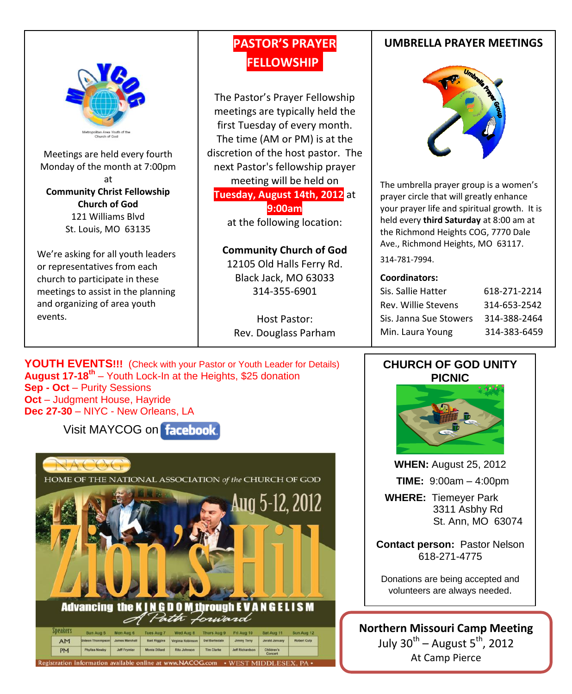

Meetings are held every fourth Monday of the month at 7:00pm at **Community Christ Fellowship Church of God** 121 Williams Blvd St. Louis, MO 63135

We're asking for all youth leaders or representatives from each church to participate in these meetings to assist in the planning and organizing of area youth events.

### **PASTOR'S PRAYER FELLOWSHIP.**

The Pastor's Prayer Fellowship meetings are typically held the first Tuesday of every month. The time (AM or PM) is at the discretion of the host pastor. The next Pastor's fellowship prayer meeting will be held on **Tuesday, August 14th, 2012** at **9:00am**

at the following location:

#### **Community Church of God**

12105 Old Halls Ferry Rd. Black Jack, MO 63033 314-355-6901

Host Pastor: Rev. Douglass Parham

**YOUTH EVENTS!!!** (Check with your Pastor or Youth Leader for Details) **August 17-18th** – Youth Lock-In at the Heights, \$25 donation **Sep - Oct** – Purity Sessions **Oct** – Judgment House, Hayride **Dec 27-30** – NIYC - New Orleans, LA

Visit MAYCOG on facebook



#### **UMBRELLA PRAYER MEETINGS**



The umbrella prayer group is a women's prayer circle that will greatly enhance your prayer life and spiritual growth. It is held every **third Saturday** at 8:00 am at the Richmond Heights COG, 7770 Dale Ave., Richmond Heights, MO 63117.

314-781-7994.

#### **Coordinators:**

| Sis. Sallie Hatter     | 618-271-2214 |
|------------------------|--------------|
| Rev. Willie Stevens    | 314-653-2542 |
| Sis. Janna Sue Stowers | 314-388-2464 |
| Min. Laura Young       | 314-383-6459 |

#### **CHURCH OF GOD UNITY PICNIC**



**WHEN:** August 25, 2012

 **TIME:** 9:00am – 4:00pm

 **WHERE:** Tiemeyer Park 3311 Asbhy Rd St. Ann, MO 63074

**Contact person:** Pastor Nelson 618-271-4775

Donations are being accepted and volunteers are always needed.

**Northern Missouri Camp Meeting** July 30 $^{\text{th}}$  – August 5 $^{\text{th}}$ , 2012 At Camp Pierce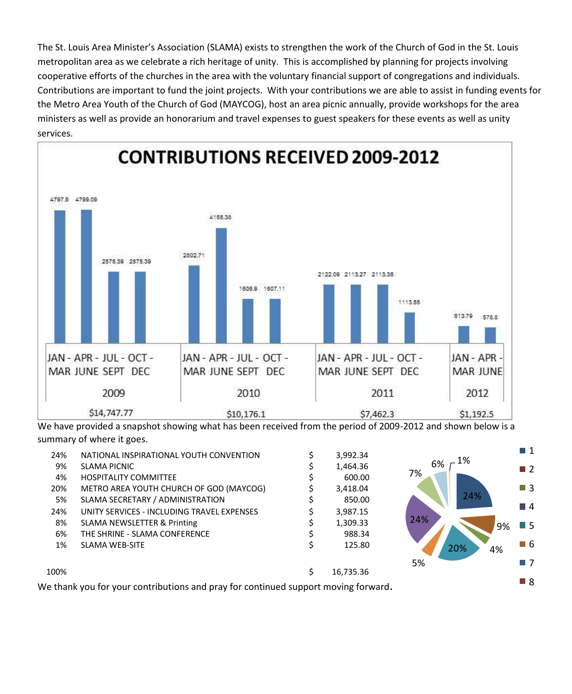The St. Louis Area Minister's Association (SLAMA) exists to strengthen the work of the Church of God in the St. Louis metropolitan area as we celebrate a rich heritage of unity. This is accomplished by planning for projects involving cooperative efforts of the churches in the area with the voluntary financial support of congregations and individuals. Contributions are important to fund the joint projects. With your contributions we are able to assist in funding events for the Metro Area Youth of the Church of God (MAYCOG), host an area picnic annually, provide workshops for the area ministers as well as provide an honorarium and travel expenses to guest speakers for these events as well as unity services.



We have provided a snapshot showing what has been received from the period of 2009-2012 and shown below is a summary of where it goes.

| 24%  | NATIONAL INSPIRATIONAL YOUTH CONVENTION    | 3,992.34  |           | $\blacksquare$ 1 |
|------|--------------------------------------------|-----------|-----------|------------------|
| 9%   | <b>SLAMA PICNIC</b>                        | 1,464.36  | 1%<br>6%  | $\blacksquare$ 2 |
| 4%   | <b>HOSPITALITY COMMITTEE</b>               | 600.00    | 7%        |                  |
| 20%  | METRO AREA YOUTH CHURCH OF GOD (MAYCOG)    | 3,418.04  |           | $\blacksquare$ 3 |
| 5%   | SLAMA SECRETARY / ADMINISTRATION           | 850.00    | 24%       |                  |
| 24%  | UNITY SERVICES - INCLUDING TRAVEL EXPENSES | 3,987.15  |           | $\blacksquare$ 4 |
| 8%   | <b>SLAMA NEWSLETTER &amp; Printing</b>     | 1,309.33  | 24%<br>9% | $\blacksquare$ 5 |
| 6%   | THE SHRINE - SLAMA CONFERENCE              | 988.34    |           |                  |
| 1%   | <b>SLAMA WEB-SITE</b>                      | 125.80    | 20%<br>4% | ■ 6              |
|      |                                            |           | 5%        | $\Box$ 7         |
| 100% |                                            | 16,735.36 |           |                  |
|      |                                            |           |           | <b>B</b> 8       |

We thank you for your contributions and pray for continued support moving forward.